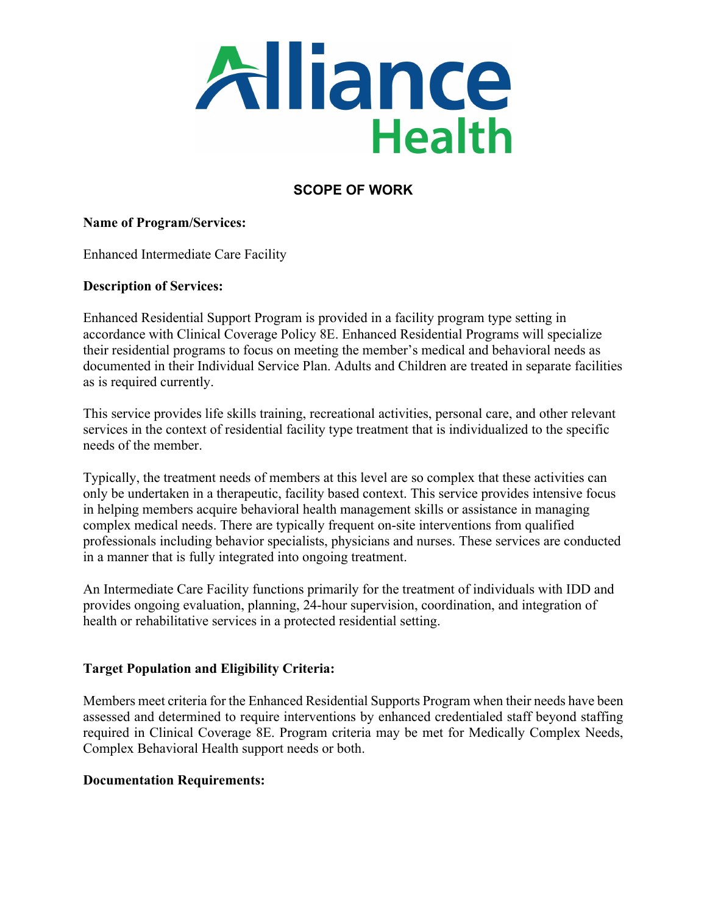

# **SCOPE OF WORK**

#### **Name of Program/Services:**

Enhanced Intermediate Care Facility

#### **Description of Services:**

Enhanced Residential Support Program is provided in a facility program type setting in accordance with Clinical Coverage Policy 8E. Enhanced Residential Programs will specialize their residential programs to focus on meeting the member's medical and behavioral needs as documented in their Individual Service Plan. Adults and Children are treated in separate facilities as is required currently.

This service provides life skills training, recreational activities, personal care, and other relevant services in the context of residential facility type treatment that is individualized to the specific needs of the member.

Typically, the treatment needs of members at this level are so complex that these activities can only be undertaken in a therapeutic, facility based context. This service provides intensive focus in helping members acquire behavioral health management skills or assistance in managing complex medical needs. There are typically frequent on-site interventions from qualified professionals including behavior specialists, physicians and nurses. These services are conducted in a manner that is fully integrated into ongoing treatment.

An Intermediate Care Facility functions primarily for the treatment of individuals with IDD and provides ongoing evaluation, planning, 24-hour supervision, coordination, and integration of health or rehabilitative services in a protected residential setting.

#### **Target Population and Eligibility Criteria:**

Members meet criteria for the Enhanced Residential Supports Program when their needs have been assessed and determined to require interventions by enhanced credentialed staff beyond staffing required in Clinical Coverage 8E. Program criteria may be met for Medically Complex Needs, Complex Behavioral Health support needs or both.

#### **Documentation Requirements:**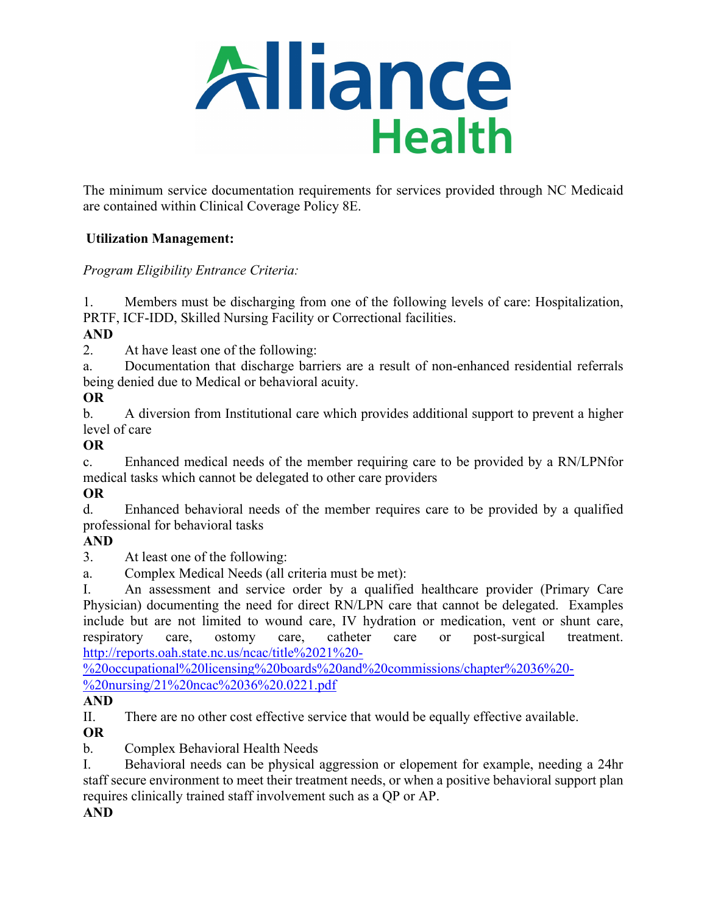

The minimum service documentation requirements for services provided through NC Medicaid are contained within Clinical Coverage Policy 8E.

## **Utilization Management:**

# *Program Eligibility Entrance Criteria:*

1. Members must be discharging from one of the following levels of care: Hospitalization, PRTF, ICF-IDD, Skilled Nursing Facility or Correctional facilities.

# **AND**

2. At have least one of the following:

a. Documentation that discharge barriers are a result of non-enhanced residential referrals being denied due to Medical or behavioral acuity.

# **OR**

b. A diversion from Institutional care which provides additional support to prevent a higher level of care

# **OR**

c. Enhanced medical needs of the member requiring care to be provided by a RN/LPNfor medical tasks which cannot be delegated to other care providers

## **OR**

d. Enhanced behavioral needs of the member requires care to be provided by a qualified professional for behavioral tasks

## **AND**

3. At least one of the following:

a. Complex Medical Needs (all criteria must be met):

I. An assessment and service order by a qualified healthcare provider (Primary Care Physician) documenting the need for direct RN/LPN care that cannot be delegated. Examples include but are not limited to wound care, IV hydration or medication, vent or shunt care, respiratory care, ostomy care, catheter care or post-surgical treatment. [http://reports.oah.state.nc.us/ncac/title%2021%20-](http://reports.oah.state.nc.us/ncac/title%2021%20-%20occupational%20licensing%20boards%20and%20commissions/chapter%2036%20-%20nursing/21%20ncac%2036%20.0221.pdf)

[%20occupational%20licensing%20boards%20and%20commissions/chapter%2036%20-](http://reports.oah.state.nc.us/ncac/title%2021%20-%20occupational%20licensing%20boards%20and%20commissions/chapter%2036%20-%20nursing/21%20ncac%2036%20.0221.pdf) [%20nursing/21%20ncac%2036%20.0221.pdf](http://reports.oah.state.nc.us/ncac/title%2021%20-%20occupational%20licensing%20boards%20and%20commissions/chapter%2036%20-%20nursing/21%20ncac%2036%20.0221.pdf)

## **AND**

II. There are no other cost effective service that would be equally effective available.

**OR**

b. Complex Behavioral Health Needs

I. Behavioral needs can be physical aggression or elopement for example, needing a 24hr staff secure environment to meet their treatment needs, or when a positive behavioral support plan requires clinically trained staff involvement such as a QP or AP.

**AND**